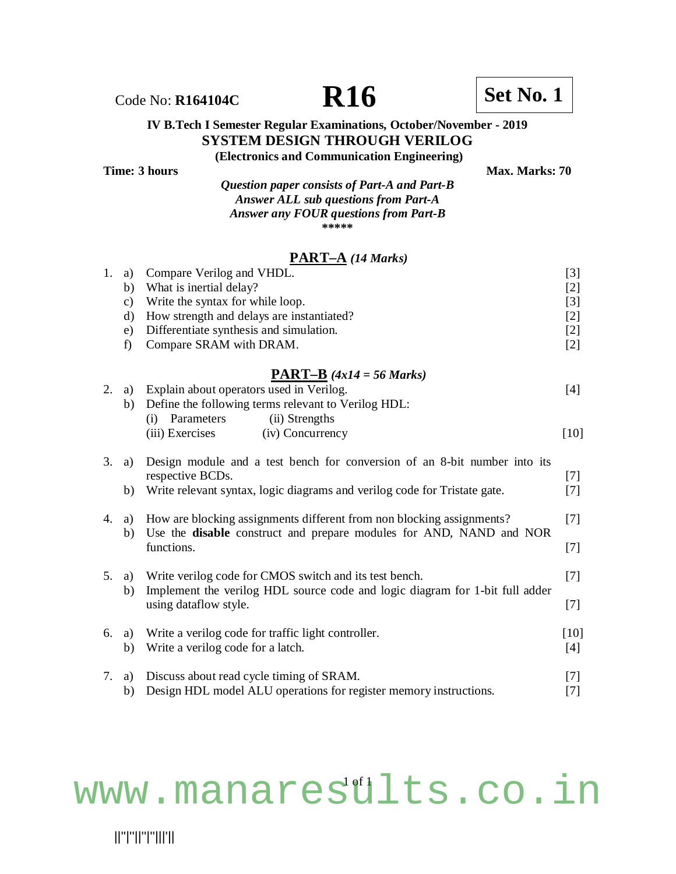## Code No: **R164104C R16 R16 Set No. 1**

## **IV B.Tech I Semester Regular Examinations, October/November - 2019 SYSTEM DESIGN THROUGH VERILOG**

**(Electronics and Communication Engineering) Time: 3 hours** Max. Marks: 70

| Question paper consists of Part-A and Part-B |
|----------------------------------------------|
| <b>Answer ALL sub questions from Part-A</b>  |
| <b>Answer any FOUR questions from Part-B</b> |
| *****                                        |

### **PART–A** *(14 Marks)*

| 1. | a)            | Compare Verilog and VHDL.                                                    | $[3]$  |
|----|---------------|------------------------------------------------------------------------------|--------|
|    | b)            | What is inertial delay?                                                      | $[2]$  |
|    | $\mathbf{c})$ | Write the syntax for while loop.                                             | $[3]$  |
|    | $\rm d)$      | How strength and delays are instantiated?                                    | $[2]$  |
|    | e)            | Differentiate synthesis and simulation.                                      | $[2]$  |
|    | f)            | Compare SRAM with DRAM.                                                      | $[2]$  |
|    |               | <b>PART-B</b> $(4x14 = 56 \text{ Marks})$                                    |        |
| 2. | a)            | Explain about operators used in Verilog.                                     | $[4]$  |
|    | b)            | Define the following terms relevant to Verilog HDL:                          |        |
|    |               | (ii) Strengths<br>Parameters<br>(i)                                          |        |
|    |               | (iii) Exercises<br>(iv) Concurrency                                          | $[10]$ |
| 3. | a)            | Design module and a test bench for conversion of an 8-bit number into its    |        |
|    |               | respective BCDs.                                                             | $[7]$  |
|    | b)            | Write relevant syntax, logic diagrams and verilog code for Tristate gate.    | $[7]$  |
| 4. | a)            | How are blocking assignments different from non blocking assignments?        | $[7]$  |
|    | b)            | Use the disable construct and prepare modules for AND, NAND and NOR          |        |
|    |               | functions.                                                                   | $[7]$  |
| 5. | a)            | Write verilog code for CMOS switch and its test bench.                       | $[7]$  |
|    | b)            | Implement the verilog HDL source code and logic diagram for 1-bit full adder |        |
|    |               | using dataflow style.                                                        |        |
| 6. | a)            | Write a verilog code for traffic light controller.                           | $[10]$ |
|    | b)            | Write a verilog code for a latch.                                            | $[4]$  |
|    |               |                                                                              |        |
| 7. | a)            | Discuss about read cycle timing of SRAM.                                     | $[7]$  |
|    | b)            | Design HDL model ALU operations for register memory instructions.            | $[7]$  |

# <www.manaresults.co.in>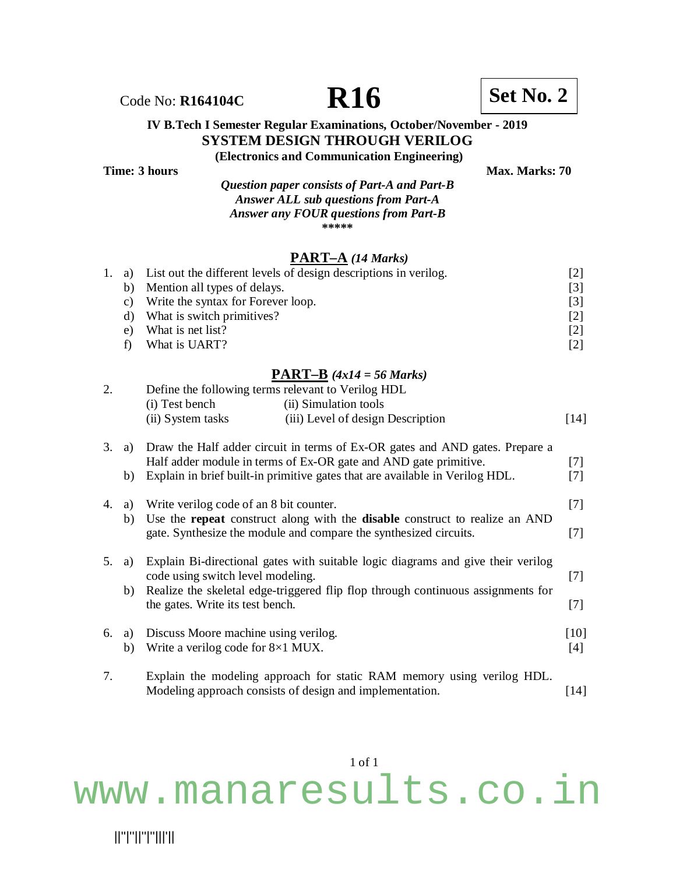#### **IV B.Tech I Semester Regular Examinations, October/November - 2019 SYSTEM DESIGN THROUGH VERILOG (Electronics and Communication Engineering)**

| Time: 3 hours |                                              | <b>Max. Marks: 70</b> |
|---------------|----------------------------------------------|-----------------------|
|               | Question paper consists of Part-A and Part-B |                       |
|               | <b>Answer ALL sub questions from Part-A</b>  |                       |
|               | Answer any FOUR questions from Part-B        |                       |
|               | *****                                        |                       |

#### **PART–A** *(14 Marks)*

|    | 1. a) List out the different levels of design descriptions in verilog. | [2]               |
|----|------------------------------------------------------------------------|-------------------|
|    | b) Mention all types of delays.                                        | $\lceil 3 \rceil$ |
| C) | Write the syntax for Forever loop.                                     | [3]               |
|    | d) What is switch primitives?                                          | [2]               |
| e) | What is net list?                                                      | [2]               |
|    | What is UART?                                                          | [2]               |

#### **PART–B** *(4x14 = 56 Marks)*

| 2. |    | Define the following terms relevant to Verilog HDL |                                                                                                                                                                |        |
|----|----|----------------------------------------------------|----------------------------------------------------------------------------------------------------------------------------------------------------------------|--------|
|    |    | (i) Test bench                                     | (ii) Simulation tools                                                                                                                                          |        |
|    |    | (ii) System tasks                                  | (iii) Level of design Description                                                                                                                              | $[14]$ |
| 3. | a) |                                                    | Draw the Half adder circuit in terms of Ex-OR gates and AND gates. Prepare a<br>Half adder module in terms of Ex-OR gate and AND gate primitive.               | $[7]$  |
|    | b) |                                                    | Explain in brief built-in primitive gates that are available in Verilog HDL.                                                                                   | $[7]$  |
| 4. | a) | Write verilog code of an 8 bit counter.            |                                                                                                                                                                | $[7]$  |
|    | b) |                                                    | Use the <b>repeat</b> construct along with the <b>disable</b> construct to realize an AND<br>gate. Synthesize the module and compare the synthesized circuits. | $[7]$  |
| 5. | a) | code using switch level modeling.                  | Explain Bi-directional gates with suitable logic diagrams and give their verilog                                                                               | $[7]$  |
|    | b) |                                                    | Realize the skeletal edge-triggered flip flop through continuous assignments for                                                                               |        |
|    |    | the gates. Write its test bench.                   |                                                                                                                                                                | $[7]$  |
| 6. | a) | Discuss Moore machine using verilog.               |                                                                                                                                                                | $[10]$ |
|    | b) | Write a verilog code for 8×1 MUX.                  |                                                                                                                                                                | $[4]$  |
| 7. |    |                                                    | Explain the modeling approach for static RAM memory using verilog HDL.                                                                                         |        |

Modeling approach consists of design and implementation. [14]

1 of 1

<www.manaresults.co.in>

Code No: **R164104C R16 R16 Set No. 2**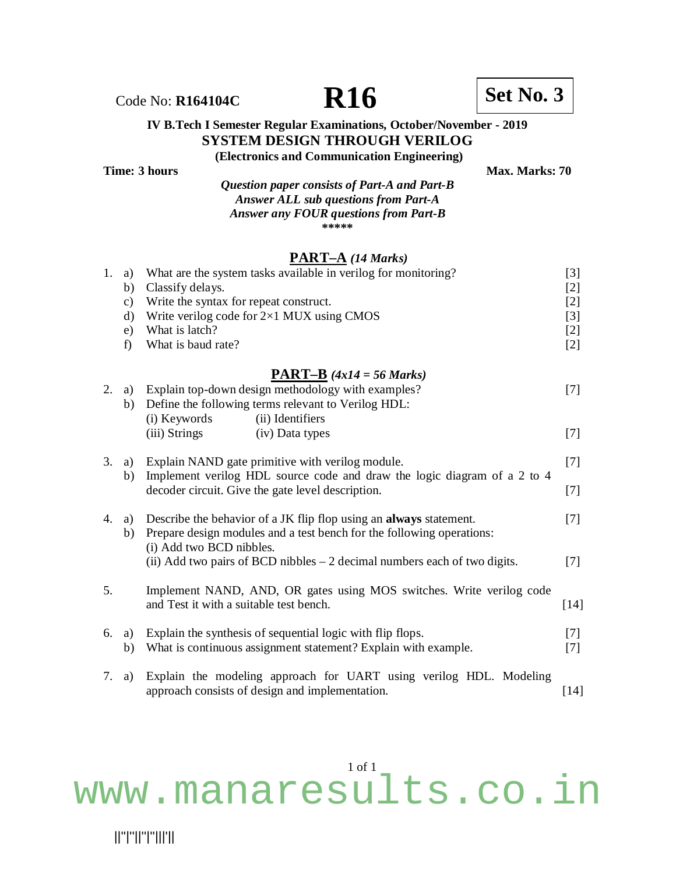# Code No: **R164104C R16 R16 Set No. 3**

#### **IV B.Tech I Semester Regular Examinations, October/November - 2019 SYSTEM DESIGN THROUGH VERILOG (Electronics and Communication Engineering)**

**Time: 3 hours Max. Marks: 70** 

*Question paper consists of Part-A and Part-B Answer ALL sub questions from Part-A Answer any FOUR questions from Part-B* **\*\*\*\*\***

#### **PART–A** *(14 Marks)*

| 1. | a)<br>b)<br>$\mathbf{c})$<br>$\mathbf{d}$<br>e)<br>f) | What are the system tasks available in verilog for monitoring?<br>Classify delays.<br>Write the syntax for repeat construct.<br>Write verilog code for $2\times1$ MUX using CMOS<br>What is latch?<br>What is baud rate? | $[3]$<br>$[2]$<br>$[2]$<br>$[3]$<br>$[2]$<br>$[2]$ |
|----|-------------------------------------------------------|--------------------------------------------------------------------------------------------------------------------------------------------------------------------------------------------------------------------------|----------------------------------------------------|
|    |                                                       | <b>PART-B</b> $(4x14 = 56 \text{ Marks})$                                                                                                                                                                                |                                                    |
| 2. | a)<br>b)                                              | Explain top-down design methodology with examples?<br>Define the following terms relevant to Verilog HDL:<br>(ii) Identifiers<br>(i) Keywords                                                                            | $[7]$                                              |
|    |                                                       | (iii) Strings<br>(iv) Data types                                                                                                                                                                                         | $[7]$                                              |
| 3. | a)<br>b)                                              | Explain NAND gate primitive with verilog module.<br>Implement verilog HDL source code and draw the logic diagram of a 2 to 4<br>decoder circuit. Give the gate level description.                                        | $[7]$                                              |
|    |                                                       |                                                                                                                                                                                                                          | $[7]$                                              |
| 4. | a)<br>b)                                              | Describe the behavior of a JK flip flop using an always statement.<br>Prepare design modules and a test bench for the following operations:<br>(i) Add two BCD nibbles.                                                  | $[7]$                                              |
|    |                                                       | (ii) Add two pairs of BCD nibbles $-2$ decimal numbers each of two digits.                                                                                                                                               | $[7]$                                              |
| 5. |                                                       | Implement NAND, AND, OR gates using MOS switches. Write verilog code<br>and Test it with a suitable test bench.                                                                                                          | $[14]$                                             |
| 6. | a)<br>b)                                              | Explain the synthesis of sequential logic with flip flops.<br>What is continuous assignment statement? Explain with example.                                                                                             | $[7]$<br>$[7]$                                     |
| 7. | a)                                                    | Explain the modeling approach for UART using verilog HDL. Modeling<br>approach consists of design and implementation.                                                                                                    | $[14]$                                             |